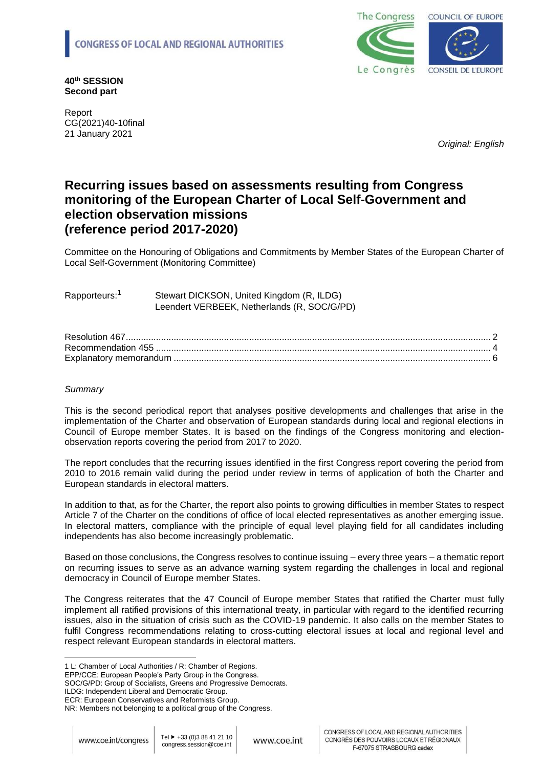

**40th SESSION Second part**

Report CG(2021)40-10final 21 January 2021

*Original: English* 

# **Recurring issues based on assessments resulting from Congress monitoring of the European Charter of Local Self-Government and election observation missions (reference period 2017-2020)**

Committee on the Honouring of Obligations and Commitments by Member States of the European Charter of Local Self-Government (Monitoring Committee)

Rapporteurs:<sup>1</sup> Stewart DICKSON, United Kingdom (R, ILDG) Leendert VERBEEK, Netherlands (R, SOC/G/PD)

# *Summary*

This is the second periodical report that analyses positive developments and challenges that arise in the implementation of the Charter and observation of European standards during local and regional elections in Council of Europe member States. It is based on the findings of the Congress monitoring and electionobservation reports covering the period from 2017 to 2020.

The report concludes that the recurring issues identified in the first Congress report covering the period from 2010 to 2016 remain valid during the period under review in terms of application of both the Charter and European standards in electoral matters.

In addition to that, as for the Charter, the report also points to growing difficulties in member States to respect Article 7 of the Charter on the conditions of office of local elected representatives as another emerging issue. In electoral matters, compliance with the principle of equal level playing field for all candidates including independents has also become increasingly problematic.

Based on those conclusions, the Congress resolves to continue issuing – every three years – a thematic report on recurring issues to serve as an advance warning system regarding the challenges in local and regional democracy in Council of Europe member States.

The Congress reiterates that the 47 Council of Europe member States that ratified the Charter must fully implement all ratified provisions of this international treaty, in particular with regard to the identified recurring issues, also in the situation of crisis such as the COVID-19 pandemic. It also calls on the member States to fulfil Congress recommendations relating to cross-cutting electoral issues at local and regional level and respect relevant European standards in electoral matters.

EPP/CCE: European People's Party Group in the Congress.

<sup>1</sup> L: Chamber of Local Authorities / R: Chamber of Regions.

SOC/G/PD: Group of Socialists, Greens and Progressive Democrats.

ILDG: Independent Liberal and Democratic Group.

ECR: European Conservatives and Reformists Group.

NR: Members not belonging to a political group of the Congress.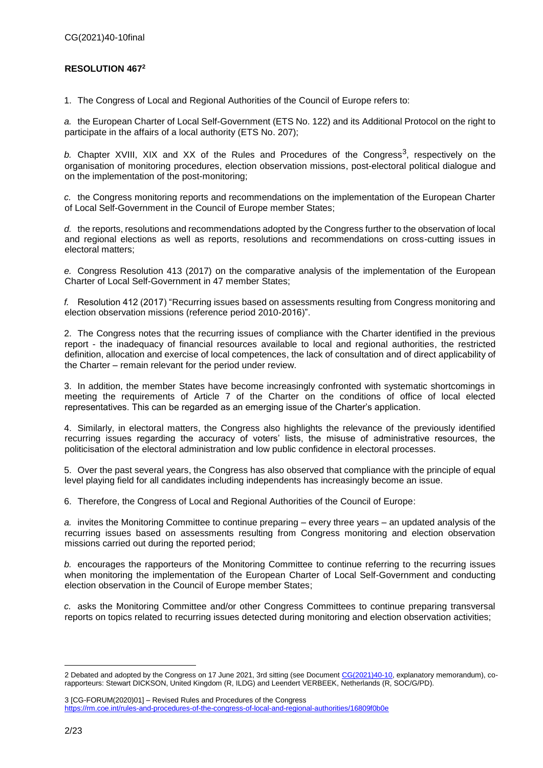# <span id="page-1-0"></span>**RESOLUTION 467<sup>2</sup>**

1. The Congress of Local and Regional Authorities of the Council of Europe refers to:

*a.* the European Charter of Local Self-Government (ETS No. 122) and its Additional Protocol on the right to participate in the affairs of a local authority (ETS No. 207);

b. Chapter XVIII, XIX and XX of the Rules and Procedures of the Congress<sup>3</sup>, respectively on the organisation of monitoring procedures, election observation missions, post-electoral political dialogue and on the implementation of the post-monitoring;

*c.* the Congress monitoring reports and recommendations on the implementation of the European Charter of Local Self-Government in the Council of Europe member States;

*d.* the reports, resolutions and recommendations adopted by the Congress further to the observation of local and regional elections as well as reports, resolutions and recommendations on cross-cutting issues in electoral matters;

*e.* Congress Resolution 413 (2017) on the comparative analysis of the implementation of the European Charter of Local Self-Government in 47 member States;

*f.* Resolution 412 (2017) "Recurring issues based on assessments resulting from Congress monitoring and election observation missions (reference period 2010-2016)".

2. The Congress notes that the recurring issues of compliance with the Charter identified in the previous report - the inadequacy of financial resources available to local and regional authorities, the restricted definition, allocation and exercise of local competences, the lack of consultation and of direct applicability of the Charter – remain relevant for the period under review.

3. In addition, the member States have become increasingly confronted with systematic shortcomings in meeting the requirements of Article 7 of the Charter on the conditions of office of local elected representatives. This can be regarded as an emerging issue of the Charter's application.

4. Similarly, in electoral matters, the Congress also highlights the relevance of the previously identified recurring issues regarding the accuracy of voters' lists, the misuse of administrative resources, the politicisation of the electoral administration and low public confidence in electoral processes.

5. Over the past several years, the Congress has also observed that compliance with the principle of equal level playing field for all candidates including independents has increasingly become an issue.

6. Therefore, the Congress of Local and Regional Authorities of the Council of Europe:

*a.* invites the Monitoring Committee to continue preparing – every three years – an updated analysis of the recurring issues based on assessments resulting from Congress monitoring and election observation missions carried out during the reported period;

*b.* encourages the rapporteurs of the Monitoring Committee to continue referring to the recurring issues when monitoring the implementation of the European Charter of Local Self-Government and conducting election observation in the Council of Europe member States;

*c.* asks the Monitoring Committee and/or other Congress Committees to continue preparing transversal reports on topics related to recurring issues detected during monitoring and election observation activities;

3 [CG-FORUM(2020)01] – Revised Rules and Procedures of the Congress <https://rm.coe.int/rules-and-procedures-of-the-congress-of-local-and-regional-authorities/16809f0b0e>

<sup>2</sup> Debated and adopted by the Congress on 17 June 2021, 3rd sitting (see Documen[t CG\(2021\)40-10,](https://rm.coe.int/recurring-issues-2017-2020-rapporteurs-stewart-dickson-united-kingdom-/1680a28a72) explanatory memorandum), corapporteurs: Stewart DICKSON, United Kingdom (R, ILDG) and Leendert VERBEEK, Netherlands (R, SOC/G/PD).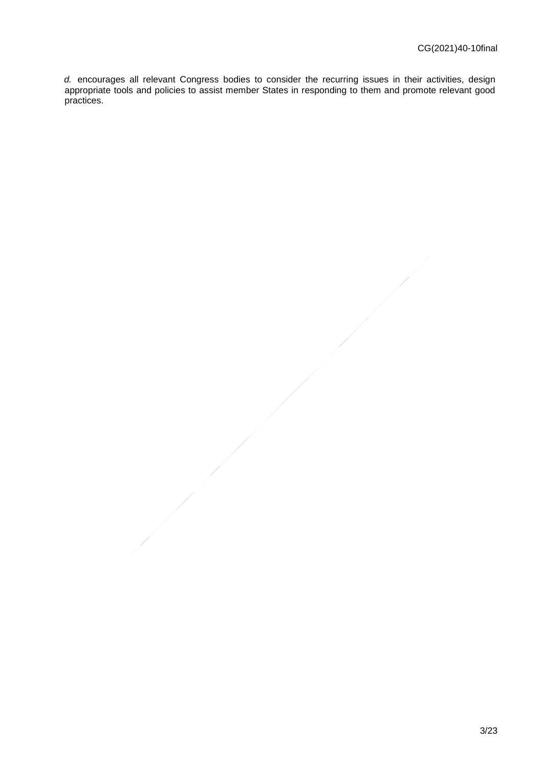*d.* encourages all relevant Congress bodies to consider the recurring issues in their activities, design appropriate tools and policies to assist member States in responding to them and promote relevant good practices.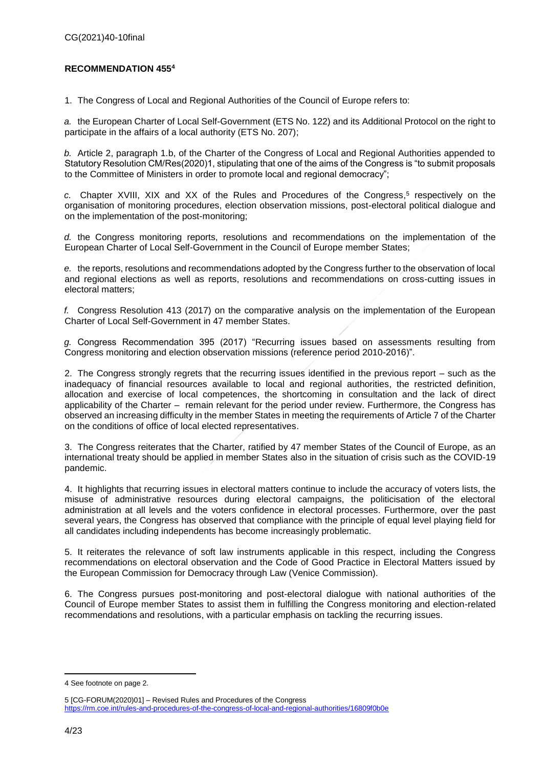# <span id="page-3-0"></span>**RECOMMENDATION 455<sup>4</sup>**

1. The Congress of Local and Regional Authorities of the Council of Europe refers to:

*a.* the European Charter of Local Self-Government (ETS No. 122) and its Additional Protocol on the right to participate in the affairs of a local authority (ETS No. 207);

*b.* Article 2, paragraph 1.b, of the Charter of the Congress of Local and Regional Authorities appended to Statutory Resolution CM/Res(2020)1, stipulating that one of the aims of the Congress is "to submit proposals to the Committee of Ministers in order to promote local and regional democracy";

c. Chapter XVIII, XIX and XX of the Rules and Procedures of the Congress,<sup>5</sup> respectively on the organisation of monitoring procedures, election observation missions, post-electoral political dialogue and on the implementation of the post-monitoring;

*d.* the Congress monitoring reports, resolutions and recommendations on the implementation of the European Charter of Local Self-Government in the Council of Europe member States;

*e.* the reports, resolutions and recommendations adopted by the Congress further to the observation of local and regional elections as well as reports, resolutions and recommendations on cross-cutting issues in electoral matters;

*f.* Congress Resolution 413 (2017) on the comparative analysis on the implementation of the European Charter of Local Self-Government in 47 member States.

*g.* Congress Recommendation 395 (2017) "Recurring issues based on assessments resulting from Congress monitoring and election observation missions (reference period 2010-2016)".

2. The Congress strongly regrets that the recurring issues identified in the previous report – such as the inadequacy of financial resources available to local and regional authorities, the restricted definition, allocation and exercise of local competences, the shortcoming in consultation and the lack of direct applicability of the Charter – remain relevant for the period under review. Furthermore, the Congress has observed an increasing difficulty in the member States in meeting the requirements of Article 7 of the Charter on the conditions of office of local elected representatives.

3. The Congress reiterates that the Charter, ratified by 47 member States of the Council of Europe, as an international treaty should be applied in member States also in the situation of crisis such as the COVID-19 pandemic.

4. It highlights that recurring issues in electoral matters continue to include the accuracy of voters lists, the misuse of administrative resources during electoral campaigns, the politicisation of the electoral administration at all levels and the voters confidence in electoral processes. Furthermore, over the past several years, the Congress has observed that compliance with the principle of equal level playing field for all candidates including independents has become increasingly problematic.

5. It reiterates the relevance of soft law instruments applicable in this respect, including the Congress recommendations on electoral observation and the Code of Good Practice in Electoral Matters issued by the European Commission for Democracy through Law (Venice Commission).

6. The Congress pursues post-monitoring and post-electoral dialogue with national authorities of the Council of Europe member States to assist them in fulfilling the Congress monitoring and election-related recommendations and resolutions, with a particular emphasis on tackling the recurring issues.

<sup>4</sup> See footnote on page 2.

<sup>5</sup> [CG-FORUM(2020)01] – Revised Rules and Procedures of the Congress <https://rm.coe.int/rules-and-procedures-of-the-congress-of-local-and-regional-authorities/16809f0b0e>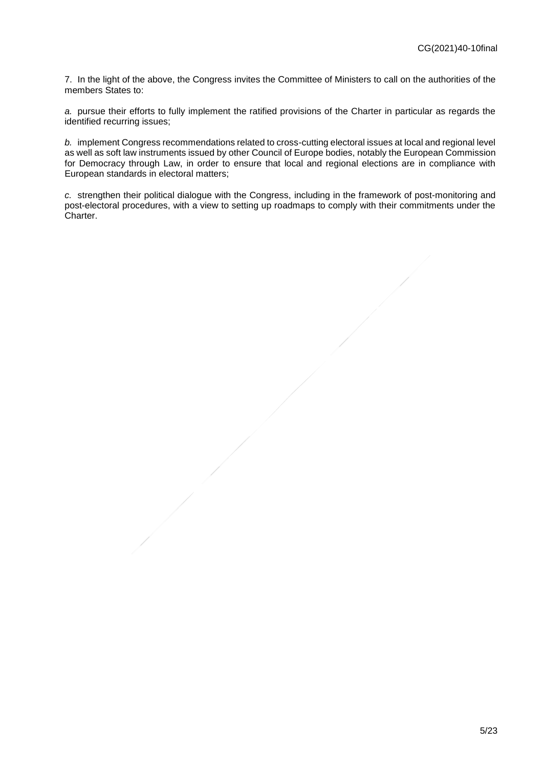7. In the light of the above, the Congress invites the Committee of Ministers to call on the authorities of the members States to:

*a.* pursue their efforts to fully implement the ratified provisions of the Charter in particular as regards the identified recurring issues;

*b.* implement Congress recommendations related to cross-cutting electoral issues at local and regional level as well as soft law instruments issued by other Council of Europe bodies, notably the European Commission for Democracy through Law, in order to ensure that local and regional elections are in compliance with European standards in electoral matters;

*c.* strengthen their political dialogue with the Congress, including in the framework of post-monitoring and post-electoral procedures, with a view to setting up roadmaps to comply with their commitments under the Charter.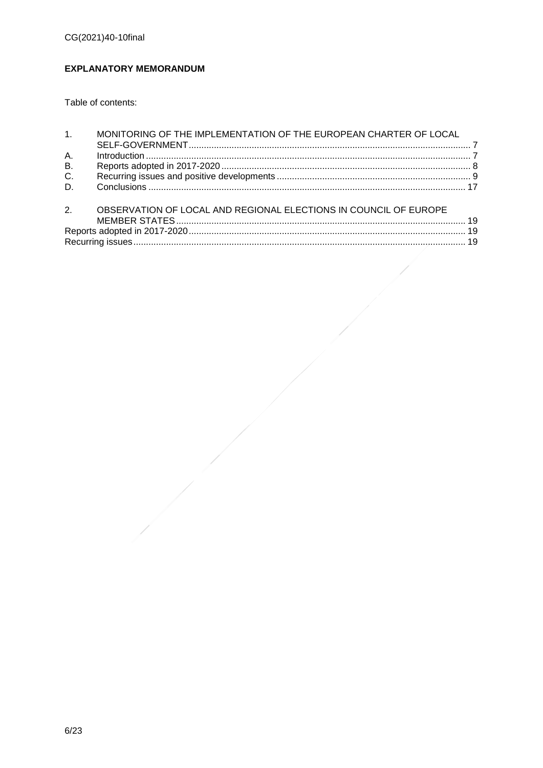# <span id="page-5-0"></span>**EXPLANATORY MEMORANDUM**

Table of contents:

| 1 <sub>1</sub> | MONITORING OF THE IMPLEMENTATION OF THE EUROPEAN CHARTER OF LOCAL |  |
|----------------|-------------------------------------------------------------------|--|
|                |                                                                   |  |
| Α.             |                                                                   |  |
| <b>B.</b>      |                                                                   |  |
| C.             |                                                                   |  |
| D.             |                                                                   |  |
| 2.             | OBSERVATION OF LOCAL AND REGIONAL ELECTIONS IN COUNCIL OF EUROPE  |  |
|                |                                                                   |  |
|                |                                                                   |  |
|                |                                                                   |  |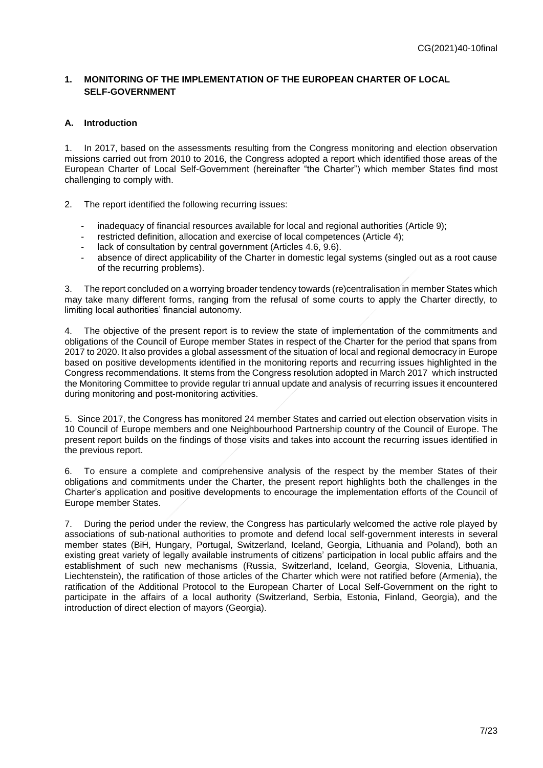# <span id="page-6-0"></span>**1. MONITORING OF THE IMPLEMENTATION OF THE EUROPEAN CHARTER OF LOCAL SELF-GOVERNMENT**

### <span id="page-6-1"></span>**A. Introduction**

1. In 2017, based on the assessments resulting from the Congress monitoring and election observation missions carried out from 2010 to 2016, the Congress adopted a report which identified those areas of the European Charter of Local Self-Government (hereinafter "the Charter") which member States find most challenging to comply with.

2. The report identified the following recurring issues:

- inadequacy of financial resources available for local and regional authorities (Article 9);
- restricted definition, allocation and exercise of local competences (Article 4);
- lack of consultation by central government (Articles 4.6, 9.6).
- absence of direct applicability of the Charter in domestic legal systems (singled out as a root cause of the recurring problems).

3. The report concluded on a worrying broader tendency towards (re)centralisation in member States which may take many different forms, ranging from the refusal of some courts to apply the Charter directly, to limiting local authorities' financial autonomy.

4. The objective of the present report is to review the state of implementation of the commitments and obligations of the Council of Europe member States in respect of the Charter for the period that spans from 2017 to 2020. It also provides a global assessment of the situation of local and regional democracy in Europe based on positive developments identified in the monitoring reports and recurring issues highlighted in the Congress recommendations. It stems from the Congress resolution adopted in March 2017 which instructed the Monitoring Committee to provid[e regular tri annual update and analysis](http://mkto-ab220141.com/f00Pa0e07j00lI3UR0Qav0l) of recurring issues it encountered during monitoring and post-monitoring activities.

5. Since 2017, the Congress has monitored 24 member States and carried out election observation visits in 10 Council of Europe members and one Neighbourhood Partnership country of the Council of Europe. The present report builds on the findings of those visits and takes into account the recurring issues identified in the previous report.

6. To ensure a complete and comprehensive analysis of the respect by the member States of their obligations and commitments under the Charter, the present report highlights both the challenges in the Charter's application and positive developments to encourage the implementation efforts of the Council of Europe member States.

7. During the period under the review, the Congress has particularly welcomed the active role played by associations of sub-national authorities to promote and defend local self-government interests in several member states (BiH, Hungary, Portugal, Switzerland, Iceland, Georgia, Lithuania and Poland), both an existing great variety of legally available instruments of citizens' participation in local public affairs and the establishment of such new mechanisms (Russia, Switzerland, Iceland, Georgia, Slovenia, Lithuania, Liechtenstein), the ratification of those articles of the Charter which were not ratified before (Armenia), the ratification of the Additional Protocol to the European Charter of Local Self-Government on the right to participate in the affairs of a local authority (Switzerland, Serbia, Estonia, Finland, Georgia), and the introduction of direct election of mayors (Georgia).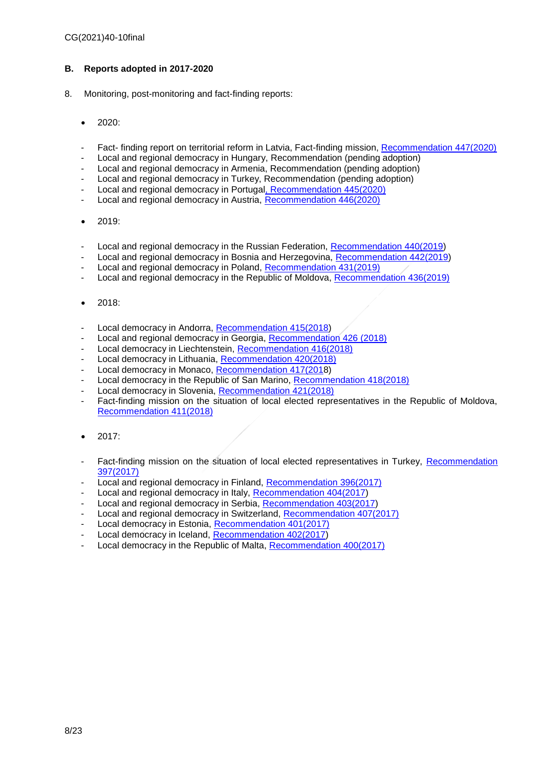# <span id="page-7-0"></span>**B. Reports adopted in 2017-2020**

- 8. Monitoring, post-monitoring and fact-finding reports:
	- 2020:
	- Fact- finding report on territorial reform in Latvia, Fact-finding mission, [Recommendation 447\(2020\)](https://rm.coe.int/fact-finding-report-on-territorial-reform-in-latvia-co-rapporteurs-xav/1680a0bfb8)
	- Local and regional democracy in Hungary, Recommendation (pending adoption)
	- Local and regional democracy in Armenia, Recommendation (pending adoption)
	- Local and regional democracy in Turkey, Recommendation (pending adoption)
	- Local and regional democracy in Portuga[l, Recommendation 445\(2020\)](https://rm.coe.int/monitoring-of-the-european-charter-of-local-self-government-in-portuga/16809fc7f2)
	- Local and regional democracy in Austria, [Recommendation 446\(2020\)](https://rm.coe.int/monitoring-of-the-european-charter-of-local-self-government-in-austria/16809fc1ec)
	- 2019:
	- Local and regional democracy in the Russian Federation, [Recommendation 440\(2019\)](https://rm.coe.int/CoERMPublicCommonSearchServices/DisplayDCTMContent?documentId=090000168098acd0)
	- Local and regional democracy in Bosnia and Herzegovina, [Recommendation 442\(2019\)](https://rm.coe.int/recommendation-442-2019-en-local-and-regional-democracy-in-bosnia-and-/168098ab40)
	- Local and regional democracy in Poland, [Recommendation 431\(2019\)](https://rm.coe.int/local-and-regional-democracy-in-poland-congress-session-rapporteurs-da/168093c47e)
	- Local and regional democracy in the Republic of Moldova, [Recommendation 436\(2019\)](https://rm.coe.int/CoERMPublicCommonSearchServices/DisplayDCTMContent?documentId=090000168093d89d)
	- 2018:
	- Local democracy in Andorra, [Recommendation 415\(2018\)](https://rm.coe.int/CoERMPublicCommonSearchServices/DisplayDCTMContent?documentId=09000016807a83f0)
	- Local and regional democracy in Georgia, [Recommendation 426 \(2018\)](https://rm.coe.int/local-and-regional-democracy-in-georgia-monitoring-committee-rapporteu/16808eda18)
	- Local democracy in Liechtenstein, [Recommendation 416\(2018\)](file://///hawking-share/Congress_dpt1_monitoring/07.%20%20SPECIFIC%20THEMATICS/REPORTS/Recurring%20issues/Recurring%20issues%202017-2020/2.%20Congress%20session%20version/Explanatory%20memorandum%20CPL35(2018)02)
	- Local democracy in Lithuania, [Recommendation 420\(2018\)](https://rm.coe.int/local-democracy-in-lithuania-rapporteurs-artur-torres-pereira-portugal/16808eda92)
	- Local democracy in Monaco, [Recommendation 417\(2018](https://rm.coe.int/CoERMPublicCommonSearchServices/DisplayDCTMContent?documentId=09000016807a8d27))
	- Local democracy in the Republic of San Marino, [Recommendation 418\(2018\)](https://rm.coe.int/CoERMPublicCommonSearchServices/DisplayDCTMContent?documentId=09000016807aa958)
	- Local democracy in Slovenia, [Recommendation 421\(2018\)](https://rm.coe.int/local-democracy-in-slovenia-rapporteurs-henrik-brade-johansen-denmark-/16808eda69)
	- Fact-finding mission on the situation of local elected representatives in the Republic of Moldova, [Recommendation 411\(2018\)](https://rm.coe.int/CoERMPublicCommonSearchServices/DisplayDCTMContent?documentId=090000168079d680)
	- 2017:
	- Fact-finding mission on the situation of local elected representatives in Turkey, Recommendation [397\(2017\)](https://rm.coe.int/CoERMPublicCommonSearchServices/DisplayDCTMContent?documentId=09000016807039b1)
	- Local and regional democracy in Finland, [Recommendation 396\(2017\)](https://rm.coe.int/CoERMPublicCommonSearchServices/DisplayDCTMContent?documentId=090000168070401f)
	- Local and regional democracy in Italy, [Recommendation 404\(2017\)](https://rm.coe.int/local-and-regional-democracy-in-italy-monitoring-committee-co-rapporte/168075fbb1)
	- Local and regional democracy in Serbia, [Recommendation 403\(2017\)](https://rm.coe.int/local-and-regional-democracy-in-serbia-rapporteurs-lucia-kroon-the-net/168075f91b)
	- Local and regional democracy in Switzerland, [Recommendation 407\(2017\)](https://rm.coe.int/local-and-regional-democracy-in-switzerland-monitoring-committee-co-ra/1680760b12)
	- Local democracy in Estonia, [Recommendation 401\(2017\)](https://rm.coe.int/CoERMPublicCommonSearchServices/DisplayDCTMContent?documentId=090000168070401b)
	- Local democracy in Iceland, [Recommendation 402\(2017\)](https://rm.coe.int/CoERMPublicCommonSearchServices/DisplayDCTMContent?documentId=0900001680704019)
	- Local democracy in the Republic of Malta, [Recommendation 400\(2017\)](https://rm.coe.int/CoERMPublicCommonSearchServices/DisplayDCTMContent?documentId=09000016807a6970)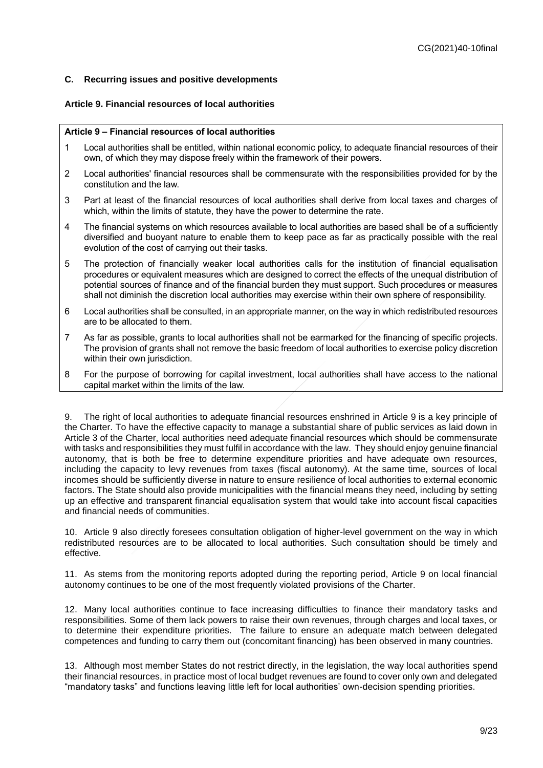# <span id="page-8-0"></span>**C. Recurring issues and positive developments**

### **Article 9. Financial resources of local authorities**

#### **Article 9 – Financial resources of local authorities**

- 1 Local authorities shall be entitled, within national economic policy, to adequate financial resources of their own, of which they may dispose freely within the framework of their powers.
- 2 Local authorities' financial resources shall be commensurate with the responsibilities provided for by the constitution and the law.
- 3 Part at least of the financial resources of local authorities shall derive from local taxes and charges of which, within the limits of statute, they have the power to determine the rate.
- 4 The financial systems on which resources available to local authorities are based shall be of a sufficiently diversified and buoyant nature to enable them to keep pace as far as practically possible with the real evolution of the cost of carrying out their tasks.
- 5 The protection of financially weaker local authorities calls for the institution of financial equalisation procedures or equivalent measures which are designed to correct the effects of the unequal distribution of potential sources of finance and of the financial burden they must support. Such procedures or measures shall not diminish the discretion local authorities may exercise within their own sphere of responsibility.
- 6 Local authorities shall be consulted, in an appropriate manner, on the way in which redistributed resources are to be allocated to them.
- 7 As far as possible, grants to local authorities shall not be earmarked for the financing of specific projects. The provision of grants shall not remove the basic freedom of local authorities to exercise policy discretion within their own jurisdiction.
- 8 For the purpose of borrowing for capital investment, local authorities shall have access to the national capital market within the limits of the law.

9. The right of local authorities to adequate financial resources enshrined in Article 9 is a key principle of the Charter. To have the effective capacity to manage a substantial share of public services as laid down in Article 3 of the Charter, local authorities need adequate financial resources which should be commensurate with tasks and responsibilities they must fulfil in accordance with the law. They should enjoy genuine financial autonomy, that is both be free to determine expenditure priorities and have adequate own resources, including the capacity to levy revenues from taxes (fiscal autonomy). At the same time, sources of local incomes should be sufficiently diverse in nature to ensure resilience of local authorities to external economic factors. The State should also provide municipalities with the financial means they need, including by setting up an effective and transparent financial equalisation system that would take into account fiscal capacities and financial needs of communities.

10. Article 9 also directly foresees consultation obligation of higher-level government on the way in which redistributed resources are to be allocated to local authorities. Such consultation should be timely and effective.

11. As stems from the monitoring reports adopted during the reporting period, Article 9 on local financial autonomy continues to be one of the most frequently violated provisions of the Charter.

12. Many local authorities continue to face increasing difficulties to finance their mandatory tasks and responsibilities. Some of them lack powers to raise their own revenues, through charges and local taxes, or to determine their expenditure priorities. The failure to ensure an adequate match between delegated competences and funding to carry them out (concomitant financing) has been observed in many countries.

13. Although most member States do not restrict directly, in the legislation, the way local authorities spend their financial resources, in practice most of local budget revenues are found to cover only own and delegated "mandatory tasks" and functions leaving little left for local authorities' own-decision spending priorities.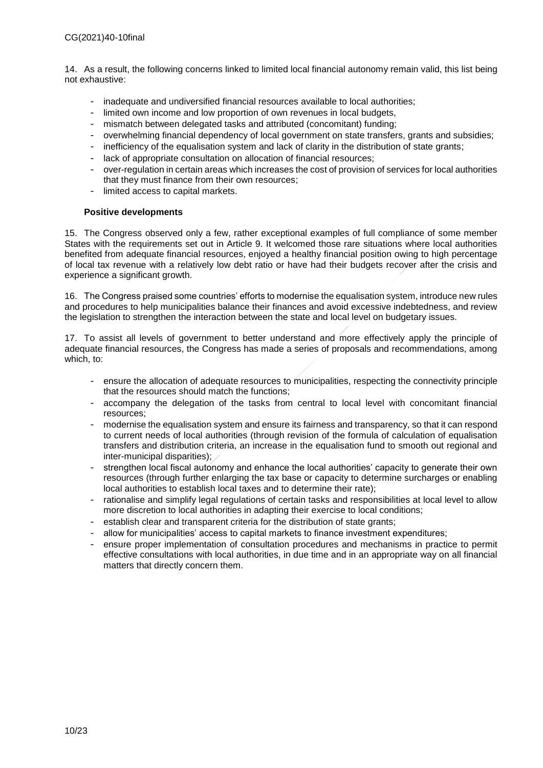14. As a result, the following concerns linked to limited local financial autonomy remain valid, this list being not exhaustive:

- inadequate and undiversified financial resources available to local authorities;
- limited own income and low proportion of own revenues in local budgets,
- mismatch between delegated tasks and attributed (concomitant) funding;
- overwhelming financial dependency of local government on state transfers, grants and subsidies;
- inefficiency of the equalisation system and lack of clarity in the distribution of state grants;
- lack of appropriate consultation on allocation of financial resources;
- over-regulation in certain areas which increases the cost of provision of services for local authorities that they must finance from their own resources;
- limited access to capital markets.

### **Positive developments**

15. The Congress observed only a few, rather exceptional examples of full compliance of some member States with the requirements set out in Article 9. It welcomed those rare situations where local authorities benefited from adequate financial resources, enjoyed a healthy financial position owing to high percentage of local tax revenue with a relatively low debt ratio or have had their budgets recover after the crisis and experience a significant growth.

16. The Congress praised some countries' efforts to modernise the equalisation system, introduce new rules and procedures to help municipalities balance their finances and avoid excessive indebtedness, and review the legislation to strengthen the interaction between the state and local level on budgetary issues.

17. To assist all levels of government to better understand and more effectively apply the principle of adequate financial resources, the Congress has made a series of proposals and recommendations, among which, to:

- ensure the allocation of adequate resources to municipalities, respecting the connectivity principle that the resources should match the functions;
- accompany the delegation of the tasks from central to local level with concomitant financial resources;
- modernise the equalisation system and ensure its fairness and transparency, so that it can respond to current needs of local authorities (through revision of the formula of calculation of equalisation transfers and distribution criteria, an increase in the equalisation fund to smooth out regional and inter-municipal disparities);
- strengthen local fiscal autonomy and enhance the local authorities' capacity to generate their own resources (through further enlarging the tax base or capacity to determine surcharges or enabling local authorities to establish local taxes and to determine their rate);
- rationalise and simplify legal regulations of certain tasks and responsibilities at local level to allow more discretion to local authorities in adapting their exercise to local conditions;
- establish clear and transparent criteria for the distribution of state grants;
- allow for municipalities' access to capital markets to finance investment expenditures;
- ensure proper implementation of consultation procedures and mechanisms in practice to permit effective consultations with local authorities, in due time and in an appropriate way on all financial matters that directly concern them.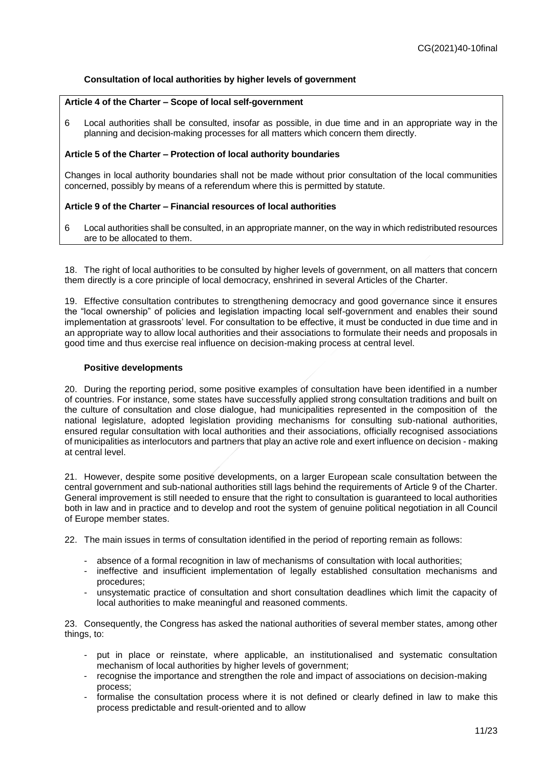# **Consultation of local authorities by higher levels of government**

### **Article 4 of the Charter – Scope of local self-government**

6 Local authorities shall be consulted, insofar as possible, in due time and in an appropriate way in the planning and decision-making processes for all matters which concern them directly.

### **Article 5 of the Charter – Protection of local authority boundaries**

Changes in local authority boundaries shall not be made without prior consultation of the local communities concerned, possibly by means of a referendum where this is permitted by statute.

### **Article 9 of the Charter – Financial resources of local authorities**

6 Local authorities shall be consulted, in an appropriate manner, on the way in which redistributed resources are to be allocated to them.

18. The right of local authorities to be consulted by higher levels of government, on all matters that concern them directly is a core principle of local democracy, enshrined in several Articles of the Charter.

19. Effective consultation contributes to strengthening democracy and good governance since it ensures the "local ownership" of policies and legislation impacting local self-government and enables their sound implementation at grassroots' level. For consultation to be effective, it must be conducted in due time and in an appropriate way to allow local authorities and their associations to formulate their needs and proposals in good time and thus exercise real influence on decision-making process at central level.

### **Positive developments**

20. During the reporting period, some positive examples of consultation have been identified in a number of countries. For instance, some states have successfully applied strong consultation traditions and built on the culture of consultation and close dialogue, had municipalities represented in the composition of the national legislature, adopted legislation providing mechanisms for consulting sub-national authorities, ensured regular consultation with local authorities and their associations, officially recognised associations of municipalities as interlocutors and partners that play an active role and exert influence on decision - making at central level.

21. However, despite some positive developments, on a larger European scale consultation between the central government and sub-national authorities still lags behind the requirements of Article 9 of the Charter. General improvement is still needed to ensure that the right to consultation is guaranteed to local authorities both in law and in practice and to develop and root the system of genuine political negotiation in all Council of Europe member states.

22. The main issues in terms of consultation identified in the period of reporting remain as follows:

- absence of a formal recognition in law of mechanisms of consultation with local authorities;
- ineffective and insufficient implementation of legally established consultation mechanisms and procedures;
- unsystematic practice of consultation and short consultation deadlines which limit the capacity of local authorities to make meaningful and reasoned comments.

23. Consequently, the Congress has asked the national authorities of several member states, among other things, to:

- put in place or reinstate, where applicable, an institutionalised and systematic consultation mechanism of local authorities by higher levels of government:
- recognise the importance and strengthen the role and impact of associations on decision-making process;
- formalise the consultation process where it is not defined or clearly defined in law to make this process predictable and result-oriented and to allow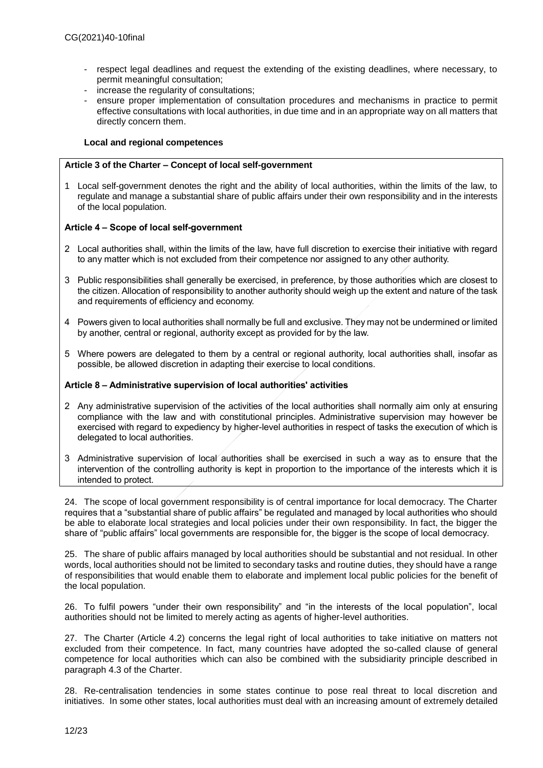- respect legal deadlines and request the extending of the existing deadlines, where necessary, to permit meaningful consultation;
- increase the regularity of consultations;
- ensure proper implementation of consultation procedures and mechanisms in practice to permit effective consultations with local authorities, in due time and in an appropriate way on all matters that directly concern them.

# **Local and regional competences**

# **Article 3 of the Charter – Concept of local self-government**

1 Local self-government denotes the right and the ability of local authorities, within the limits of the law, to regulate and manage a substantial share of public affairs under their own responsibility and in the interests of the local population.

### **Article 4 – Scope of local self-government**

- 2 Local authorities shall, within the limits of the law, have full discretion to exercise their initiative with regard to any matter which is not excluded from their competence nor assigned to any other authority.
- 3 Public responsibilities shall generally be exercised, in preference, by those authorities which are closest to the citizen. Allocation of responsibility to another authority should weigh up the extent and nature of the task and requirements of efficiency and economy.
- 4 Powers given to local authorities shall normally be full and exclusive. They may not be undermined or limited by another, central or regional, authority except as provided for by the law.
- 5 Where powers are delegated to them by a central or regional authority, local authorities shall, insofar as possible, be allowed discretion in adapting their exercise to local conditions.

# **Article 8 – Administrative supervision of local authorities' activities**

- 2 Any administrative supervision of the activities of the local authorities shall normally aim only at ensuring compliance with the law and with constitutional principles. Administrative supervision may however be exercised with regard to expediency by higher-level authorities in respect of tasks the execution of which is delegated to local authorities.
- 3 Administrative supervision of local authorities shall be exercised in such a way as to ensure that the intervention of the controlling authority is kept in proportion to the importance of the interests which it is intended to protect.

24. The scope of local government responsibility is of central importance for local democracy. The Charter requires that a "substantial share of public affairs" be regulated and managed by local authorities who should be able to elaborate local strategies and local policies under their own responsibility. In fact, the bigger the share of "public affairs" local governments are responsible for, the bigger is the scope of local democracy.

25. The share of public affairs managed by local authorities should be substantial and not residual. In other words, local authorities should not be limited to secondary tasks and routine duties, they should have a range of responsibilities that would enable them to elaborate and implement local public policies for the benefit of the local population.

26. To fulfil powers "under their own responsibility" and "in the interests of the local population", local authorities should not be limited to merely acting as agents of higher-level authorities.

27. The Charter (Article 4.2) concerns the legal right of local authorities to take initiative on matters not excluded from their competence. In fact, many countries have adopted the so-called clause of general competence for local authorities which can also be combined with the subsidiarity principle described in paragraph 4.3 of the Charter.

28. Re-centralisation tendencies in some states continue to pose real threat to local discretion and initiatives. In some other states, local authorities must deal with an increasing amount of extremely detailed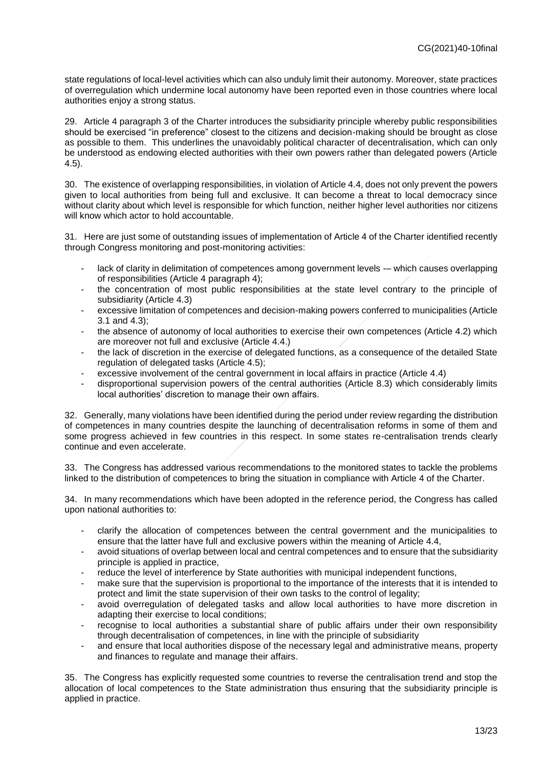state regulations of local-level activities which can also unduly limit their autonomy. Moreover, state practices of overregulation which undermine local autonomy have been reported even in those countries where local authorities enjoy a strong status.

29. Article 4 paragraph 3 of the Charter introduces the subsidiarity principle whereby public responsibilities should be exercised "in preference" closest to the citizens and decision-making should be brought as close as possible to them. This underlines the unavoidably political character of decentralisation, which can only be understood as endowing elected authorities with their own powers rather than delegated powers (Article 4.5).

30. The existence of overlapping responsibilities, in violation of Article 4.4, does not only prevent the powers given to local authorities from being full and exclusive. It can become a threat to local democracy since without clarity about which level is responsible for which function, neither higher level authorities nor citizens will know which actor to hold accountable.

31. Here are just some of outstanding issues of implementation of Article 4 of the Charter identified recently through Congress monitoring and post-monitoring activities:

- lack of clarity in delimitation of competences among government levels -- which causes overlapping of responsibilities (Article 4 paragraph 4);
- the concentration of most public responsibilities at the state level contrary to the principle of subsidiarity (Article 4.3)
- excessive limitation of competences and decision-making powers conferred to municipalities (Article 3.1 and 4.3);
- the absence of autonomy of local authorities to exercise their own competences (Article 4.2) which are moreover not full and exclusive (Article 4.4.)
- the lack of discretion in the exercise of delegated functions, as a consequence of the detailed State regulation of delegated tasks (Article 4.5);
- excessive involvement of the central government in local affairs in practice (Article 4.4)
- disproportional supervision powers of the central authorities (Article 8.3) which considerably limits local authorities' discretion to manage their own affairs.

32. Generally, many violations have been identified during the period under review regarding the distribution of competences in many countries despite the launching of decentralisation reforms in some of them and some progress achieved in few countries in this respect. In some states re-centralisation trends clearly continue and even accelerate.

33. The Congress has addressed various recommendations to the monitored states to tackle the problems linked to the distribution of competences to bring the situation in compliance with Article 4 of the Charter.

34. In many recommendations which have been adopted in the reference period, the Congress has called upon national authorities to:

- clarify the allocation of competences between the central government and the municipalities to ensure that the latter have full and exclusive powers within the meaning of Article 4.4,
- avoid situations of overlap between local and central competences and to ensure that the subsidiarity principle is applied in practice,
- reduce the level of interference by State authorities with municipal independent functions,
- make sure that the supervision is proportional to the importance of the interests that it is intended to protect and limit the state supervision of their own tasks to the control of legality;
- avoid overregulation of delegated tasks and allow local authorities to have more discretion in adapting their exercise to local conditions;
- recognise to local authorities a substantial share of public affairs under their own responsibility through decentralisation of competences, in line with the principle of subsidiarity
- and ensure that local authorities dispose of the necessary legal and administrative means, property and finances to regulate and manage their affairs.

35. The Congress has explicitly requested some countries to reverse the centralisation trend and stop the allocation of local competences to the State administration thus ensuring that the subsidiarity principle is applied in practice.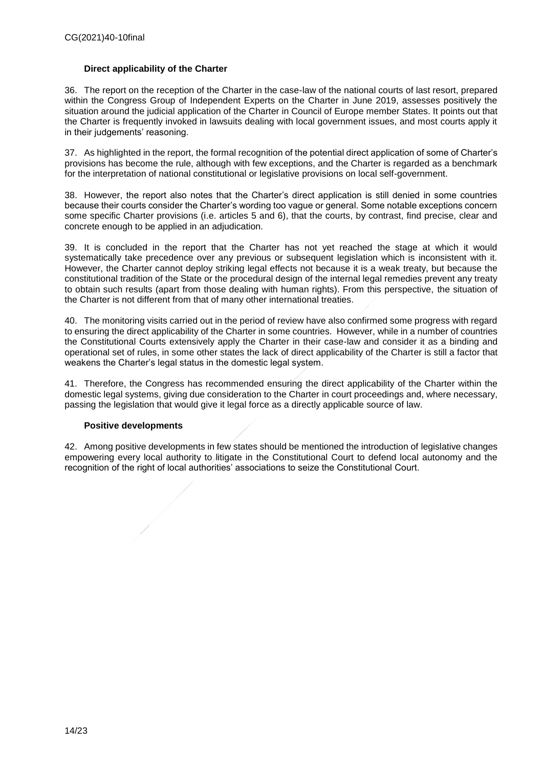# **Direct applicability of the Charter**

36. The report on the reception of the Charter in the case-law of the national courts of last resort, prepared within the Congress Group of Independent Experts on the Charter in June 2019, assesses positively the situation around the judicial application of the Charter in Council of Europe member States. It points out that the Charter is frequently invoked in lawsuits dealing with local government issues, and most courts apply it in their judgements' reasoning.

37. As highlighted in the report, the formal recognition of the potential direct application of some of Charter's provisions has become the rule, although with few exceptions, and the Charter is regarded as a benchmark for the interpretation of national constitutional or legislative provisions on local self-government.

38. However, the report also notes that the Charter's direct application is still denied in some countries because their courts consider the Charter's wording too vague or general. Some notable exceptions concern some specific Charter provisions (i.e. articles 5 and 6), that the courts, by contrast, find precise, clear and concrete enough to be applied in an adjudication.

39. It is concluded in the report that the Charter has not yet reached the stage at which it would systematically take precedence over any previous or subsequent legislation which is inconsistent with it. However, the Charter cannot deploy striking legal effects not because it is a weak treaty, but because the constitutional tradition of the State or the procedural design of the internal legal remedies prevent any treaty to obtain such results (apart from those dealing with human rights). From this perspective, the situation of the Charter is not different from that of many other international treaties.

40. The monitoring visits carried out in the period of review have also confirmed some progress with regard to ensuring the direct applicability of the Charter in some countries. However, while in a number of countries the Constitutional Courts extensively apply the Charter in their case-law and consider it as a binding and operational set of rules, in some other states the lack of direct applicability of the Charter is still a factor that weakens the Charter's legal status in the domestic legal system.

41. Therefore, the Congress has recommended ensuring the direct applicability of the Charter within the domestic legal systems, giving due consideration to the Charter in court proceedings and, where necessary, passing the legislation that would give it legal force as a directly applicable source of law.

### **Positive developments**

42. Among positive developments in few states should be mentioned the introduction of legislative changes empowering every local authority to litigate in the Constitutional Court to defend local autonomy and the recognition of the right of local authorities' associations to seize the Constitutional Court.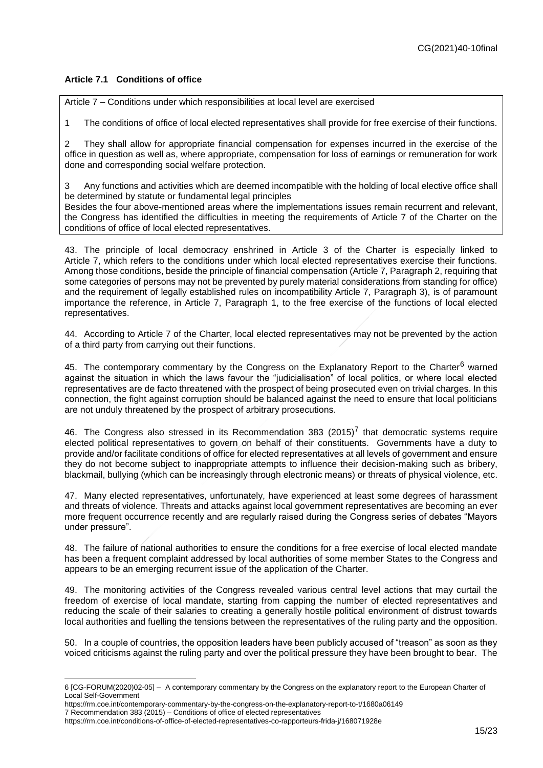# **Article 7.1 Conditions of office**

Article 7 – Conditions under which responsibilities at local level are exercised

1 The conditions of office of local elected representatives shall provide for free exercise of their functions.

2 They shall allow for appropriate financial compensation for expenses incurred in the exercise of the office in question as well as, where appropriate, compensation for loss of earnings or remuneration for work done and corresponding social welfare protection.

3 Any functions and activities which are deemed incompatible with the holding of local elective office shall be determined by statute or fundamental legal principles Besides the four above-mentioned areas where the implementations issues remain recurrent and relevant, the Congress has identified the difficulties in meeting the requirements of Article 7 of the Charter on the conditions of office of local elected representatives.

43. The principle of local democracy enshrined in Article 3 of the Charter is especially linked to Article 7, which refers to the conditions under which local elected representatives exercise their functions. Among those conditions, beside the principle of financial compensation (Article 7, Paragraph 2, requiring that some categories of persons may not be prevented by purely material considerations from standing for office) and the requirement of legally established rules on incompatibility Article 7, Paragraph 3), is of paramount importance the reference, in Article 7, Paragraph 1, to the free exercise of the functions of local elected representatives.

44. According to Article 7 of the Charter, local elected representatives may not be prevented by the action of a third party from carrying out their functions.

45. The contemporary commentary by the Congress on the Explanatory Report to the Charter<sup>6</sup> warned against the situation in which the laws favour the "judicialisation" of local politics, or where local elected representatives are de facto threatened with the prospect of being prosecuted even on trivial charges. In this connection, the fight against corruption should be balanced against the need to ensure that local politicians are not unduly threatened by the prospect of arbitrary prosecutions.

46. The Congress also stressed in its Recommendation 383 (2015)<sup>7</sup> that democratic systems require elected political representatives to govern on behalf of their constituents. Governments have a duty to provide and/or facilitate conditions of office for elected representatives at all levels of government and ensure they do not become subject to inappropriate attempts to influence their decision-making such as bribery, blackmail, bullying (which can be increasingly through electronic means) or threats of physical violence, etc.

47. Many elected representatives, unfortunately, have experienced at least some degrees of harassment and threats of violence. Threats and attacks against local government representatives are becoming an ever more frequent occurrence recently and are regularly raised during the Congress series of debates "Mayors under pressure".

48. The failure of national authorities to ensure the conditions for a free exercise of local elected mandate has been a frequent complaint addressed by local authorities of some member States to the Congress and appears to be an emerging recurrent issue of the application of the Charter.

49. The monitoring activities of the Congress revealed various central level actions that may curtail the freedom of exercise of local mandate, starting from capping the number of elected representatives and reducing the scale of their salaries to creating a generally hostile political environment of distrust towards local authorities and fuelling the tensions between the representatives of the ruling party and the opposition.

50. In a couple of countries, the opposition leaders have been publicly accused of "treason" as soon as they voiced criticisms against the ruling party and over the political pressure they have been brought to bear. The

<sup>6</sup> [CG-FORUM(2020)02-05] – A contemporary commentary by the Congress on the explanatory report to the European Charter of Local Self-Government

https://rm.coe.int/contemporary-commentary-by-the-congress-on-the-explanatory-report-to-t/1680a06149

<sup>7</sup> Recommendation 383 (2015) – Conditions of office of elected representatives

https://rm.coe.int/conditions-of-office-of-elected-representatives-co-rapporteurs-frida-j/168071928e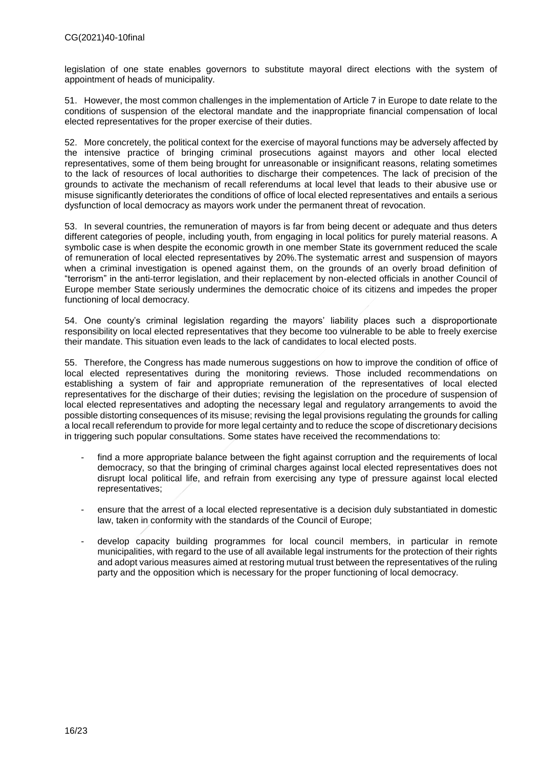legislation of one state enables governors to substitute mayoral direct elections with the system of appointment of heads of municipality.

51. However, the most common challenges in the implementation of Article 7 in Europe to date relate to the conditions of suspension of the electoral mandate and the inappropriate financial compensation of local elected representatives for the proper exercise of their duties.

52. More concretely, the political context for the exercise of mayoral functions may be adversely affected by the intensive practice of bringing criminal prosecutions against mayors and other local elected representatives, some of them being brought for unreasonable or insignificant reasons, relating sometimes to the lack of resources of local authorities to discharge their competences. The lack of precision of the grounds to activate the mechanism of recall referendums at local level that leads to their abusive use or misuse significantly deteriorates the conditions of office of local elected representatives and entails a serious dysfunction of local democracy as mayors work under the permanent threat of revocation.

53. In several countries, the remuneration of mayors is far from being decent or adequate and thus deters different categories of people, including youth, from engaging in local politics for purely material reasons. A symbolic case is when despite the economic growth in one member State its government reduced the scale of remuneration of local elected representatives by 20%.The systematic arrest and suspension of mayors when a criminal investigation is opened against them, on the grounds of an overly broad definition of "terrorism" in the anti-terror legislation, and their replacement by non-elected officials in another Council of Europe member State seriously undermines the democratic choice of its citizens and impedes the proper functioning of local democracy.

54. One county's criminal legislation regarding the mayors' liability places such a disproportionate responsibility on local elected representatives that they become too vulnerable to be able to freely exercise their mandate. This situation even leads to the lack of candidates to local elected posts.

55. Therefore, the Congress has made numerous suggestions on how to improve the condition of office of local elected representatives during the monitoring reviews. Those included recommendations on establishing a system of fair and appropriate remuneration of the representatives of local elected representatives for the discharge of their duties; revising the legislation on the procedure of suspension of local elected representatives and adopting the necessary legal and regulatory arrangements to avoid the possible distorting consequences of its misuse; revising the legal provisions regulating the grounds for calling a local recall referendum to provide for more legal certainty and to reduce the scope of discretionary decisions in triggering such popular consultations. Some states have received the recommendations to:

- find a more appropriate balance between the fight against corruption and the requirements of local democracy, so that the bringing of criminal charges against local elected representatives does not disrupt local political life, and refrain from exercising any type of pressure against local elected representatives;
- ensure that the arrest of a local elected representative is a decision duly substantiated in domestic law, taken in conformity with the standards of the Council of Europe;
- develop capacity building programmes for local council members, in particular in remote municipalities, with regard to the use of all available legal instruments for the protection of their rights and adopt various measures aimed at restoring mutual trust between the representatives of the ruling party and the opposition which is necessary for the proper functioning of local democracy.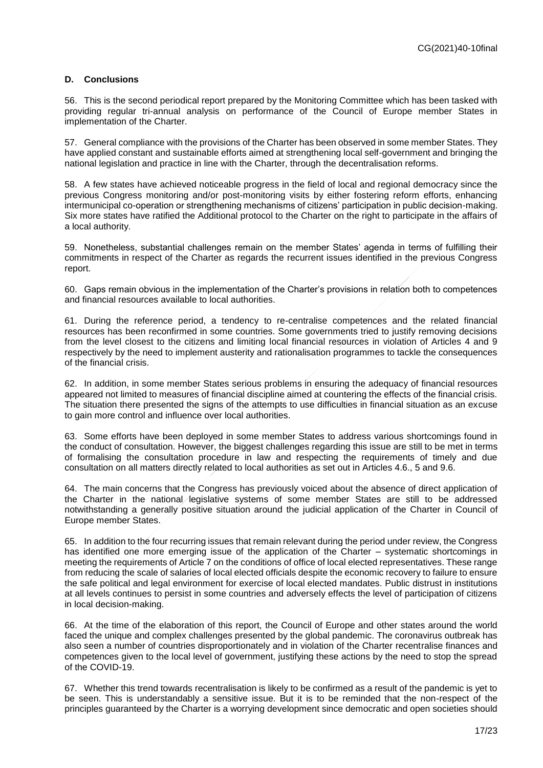### <span id="page-16-0"></span>**D. Conclusions**

56. This is the second periodical report prepared by the Monitoring Committee which has been tasked with providing [regular tri-annual analysis](http://mkto-ab220141.com/f00Pa0e07j00lI3UR0Qav0l) on performance of the Council of Europe member States in implementation of the Charter.

57. General compliance with the provisions of the Charter has been observed in some member States. They have applied constant and sustainable efforts aimed at strengthening local self-government and bringing the national legislation and practice in line with the Charter, through the decentralisation reforms.

58. A few states have achieved noticeable progress in the field of local and regional democracy since the previous Congress monitoring and/or post-monitoring visits by either fostering reform efforts, enhancing intermunicipal co-operation or strengthening mechanisms of citizens' participation in public decision-making. Six more states have ratified the Additional protocol to the Charter on the right to participate in the affairs of a local authority.

59. Nonetheless, substantial challenges remain on the member States' agenda in terms of fulfilling their commitments in respect of the Charter as regards the recurrent issues identified in the previous Congress report.

60. Gaps remain obvious in the implementation of the Charter's provisions in relation both to competences and financial resources available to local authorities.

61. During the reference period, a tendency to re-centralise competences and the related financial resources has been reconfirmed in some countries. Some governments tried to justify removing decisions from the level closest to the citizens and limiting local financial resources in violation of Articles 4 and 9 respectively by the need to implement austerity and rationalisation programmes to tackle the consequences of the financial crisis.

62. In addition, in some member States serious problems in ensuring the adequacy of financial resources appeared not limited to measures of financial discipline aimed at countering the effects of the financial crisis. The situation there presented the signs of the attempts to use difficulties in financial situation as an excuse to gain more control and influence over local authorities.

63. Some efforts have been deployed in some member States to address various shortcomings found in the conduct of consultation. However, the biggest challenges regarding this issue are still to be met in terms of formalising the consultation procedure in law and respecting the requirements of timely and due consultation on all matters directly related to local authorities as set out in Articles 4.6., 5 and 9.6.

64. The main concerns that the Congress has previously voiced about the absence of direct application of the Charter in the national legislative systems of some member States are still to be addressed notwithstanding a generally positive situation around the judicial application of the Charter in Council of Europe member States.

65. In addition to the four recurring issues that remain relevant during the period under review, the Congress has identified one more emerging issue of the application of the Charter – systematic shortcomings in meeting the requirements of Article 7 on the conditions of office of local elected representatives. These range from reducing the scale of salaries of local elected officials despite the economic recovery to failure to ensure the safe political and legal environment for exercise of local elected mandates. Public distrust in institutions at all levels continues to persist in some countries and adversely effects the level of participation of citizens in local decision-making.

66. At the time of the elaboration of this report, the Council of Europe and other states around the world faced the unique and complex challenges presented by the global pandemic. The coronavirus outbreak has also seen a number of countries disproportionately and in violation of the Charter recentralise finances and competences given to the local level of government, justifying these actions by the need to stop the spread of the COVID-19.

67. Whether this trend towards recentralisation is likely to be confirmed as a result of the pandemic is yet to be seen. This is understandably a sensitive issue. But it is to be reminded that the non-respect of the principles guaranteed by the Charter is a worrying development since democratic and open societies should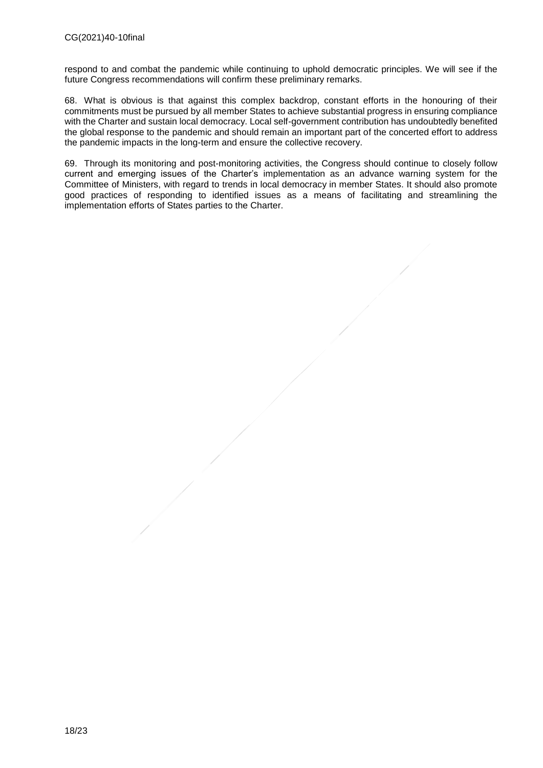respond to and combat the pandemic while continuing to uphold democratic principles. We will see if the future Congress recommendations will confirm these preliminary remarks.

68. What is obvious is that against this complex backdrop, constant efforts in the honouring of their commitments must be pursued by all member States to achieve substantial progress in ensuring compliance with the Charter and sustain local democracy. Local self-government contribution has undoubtedly benefited the global response to the pandemic and should remain an important part of the concerted effort to address the pandemic impacts in the long-term and ensure the collective recovery.

69. Through its monitoring and post-monitoring activities, the Congress should continue to closely follow current and emerging issues of the Charter's implementation as an advance warning system for the Committee of Ministers, with regard to trends in local democracy in member States. It should also promote good practices of responding to identified issues as a means of facilitating and streamlining the implementation efforts of States parties to the Charter.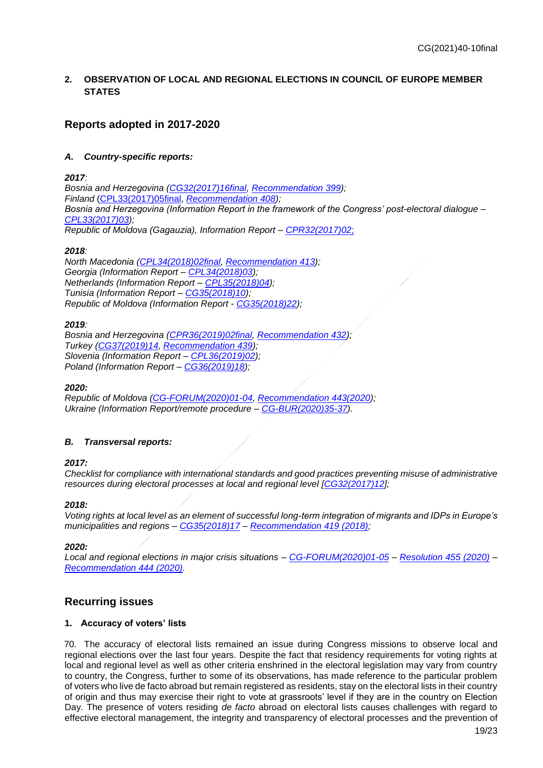# <span id="page-18-0"></span>**2. OBSERVATION OF LOCAL AND REGIONAL ELECTIONS IN COUNCIL OF EUROPE MEMBER STATES**

# <span id="page-18-1"></span>**Reports adopted in 2017-2020**

# *A. Country-specific reports:*

*2017:* 

*Bosnia and Herzegovina [\(CG32\(2017\)16final,](https://rm.coe.int/CoERMPublicCommonSearchServices/DisplayDCTMContent?documentId=09000016806fe048) [Recommendation 399\)](https://rm.coe.int/CoERMPublicCommonSearchServices/DisplayDCTMContent?documentId=0900001680703f5d); Finland* [\(CPL33\(2017\)05final,](https://rm.coe.int/CoERMPublicCommonSearchServices/DisplayDCTMContent?documentId=090000168075fc09) *[Recommendation 408\)](https://rm.coe.int/CoERMPublicCommonSearchServices/DisplayDCTMContent?documentId=090000168075fd08); Bosnia and Herzegovina (Information Report in the framework of the Congress' post-electoral dialogue – [CPL33\(2017\)03\)](https://search.coe.int/congress/Pages/result_details.aspx?ObjectId=09000016807509e2); Republic of Moldova (Gagauzia), Information Report – [CPR32\(2017\)02](https://search.coe.int/congress/Pages/result_details.aspx?ObjectId=09000016806fe081)*;

### *2018:*

*North Macedonia [\(CPL34\(2018\)02final,](https://rm.coe.int/CoERMPublicCommonSearchServices/DisplayDCTMContent?documentId=090000168079cee6) [Recommendation 413\)](https://rm.coe.int/CoERMPublicCommonSearchServices/DisplayDCTMContent?documentId=090000168079ab0c); Georgia (Information Report – [CPL34\(2018\)03\)](https://rm.coe.int/CoERMPublicCommonSearchServices/DisplayDCTMContent?documentId=09000016807915ed); Netherlands (Information Report – [CPL35\(2018\)04\)](https://rm.coe.int/CoERMPublicCommonSearchServices/DisplayDCTMContent?documentId=09000016808e4a9d); Tunisia (Information Report – [CG35\(2018\)10\)](https://rm.coe.int/CoERMPublicCommonSearchServices/DisplayDCTMContent?documentId=09000016808e4a52); Republic of Moldova (Information Report - [CG35\(2018\)22\)](https://rm.coe.int/CoERMPublicCommonSearchServices/DisplayDCTMContent?documentId=09000016808e4a50);*

### *2019:*

*Bosnia and Herzegovina [\(CPR36\(2019\)02final,](https://rm.coe.int/CoERMPublicCommonSearchServices/DisplayDCTMContent?documentId=0900001680937716) [Recommendation 432\)](https://rm.coe.int/CoERMPublicCommonSearchServices/DisplayDCTMContent?documentId=090000168093c4a9); Turkey [\(CG37\(2019\)14,](https://rm.coe.int/local-elections-in-turkey-and-mayoral-re-run-in-istanbul-committee-on-/1680981fcf) [Recommendation 439\)](https://rm.coe.int/CoERMPublicCommonSearchServices/DisplayDCTMContent?documentId=090000168098b2f2); Slovenia (Information Report – [CPL36\(2019\)02\)](https://rm.coe.int/CoERMPublicCommonSearchServices/DisplayDCTMContent?documentId=09000016809376f8); Poland (Information Report – [CG36\(2019\)18\)](https://rm.coe.int/CoERMPublicCommonSearchServices/DisplayDCTMContent?documentId=09000016809381c7);*

### *2020:*

*Republic of Moldova [\(CG-FORUM\(2020\)01-04,](https://rm.coe.int/local-elections-in-moldova-on-20-october-2019-monitoring-committee-rap/16809f57a8) [Recommendation 443\(2020\)](https://rm.coe.int/local-elections-in-the-republic-of-moldova-20-october-2019-monitoring-/16809fbe3b); Ukraine (Information Report/remote procedure – [CG-BUR\(2020\)35-37\)](https://search.coe.int/congress/Pages/result_details.aspx?ObjectId=0900001680a07d8b).*

# *B. Transversal reports:*

# *2017:*

*Checklist for compliance with international standards and good practices preventing misuse of administrative resources during electoral processes at local and regional level [\[CG32\(2017\)12\]](https://search.coe.int/congress/Pages/result_details.aspx?ObjectId=09000016807000d1);*

# *2018:*

*Voting rights at local level as an element of successful long-term integration of migrants and IDPs in Europe's municipalities and regions – [CG35\(2018\)17](https://search.coe.int/congress/Pages/result_details.aspx?ObjectId=09000016808e49f4) – [Recommendation 419 \(2018\);](https://search.coe.int/congress/Pages/result_details.aspx?ObjectId=09000016808ec71b)*

*2020:*

*Local and regional elections in major crisis situations – [CG-FORUM\(2020\)01-05](https://search.coe.int/congress/Pages/result_details.aspx?ObjectId=09000016809fa82f) – [Resolution 455 \(2020\)](https://search.coe.int/congress/Pages/result_details.aspx?ObjectId=09000016809fbe7c) – [Recommendation 444 \(2020\).](https://search.coe.int/congress/Pages/result_details.aspx?ObjectId=09000016809fbe67)*

# <span id="page-18-2"></span>**Recurring issues**

# **1. Accuracy of voters' lists**

70. The accuracy of electoral lists remained an issue during Congress missions to observe local and regional elections over the last four years. Despite the fact that residency requirements for voting rights at local and regional level as well as other criteria enshrined in the electoral legislation may vary from country to country, the Congress, further to some of its observations, has made reference to the particular problem of voters who live de facto abroad but remain registered as residents, stay on the electoral lists in their country of origin and thus may exercise their right to vote at grassroots' level if they are in the country on Election Day. The presence of voters residing *de facto* abroad on electoral lists causes challenges with regard to effective electoral management, the integrity and transparency of electoral processes and the prevention of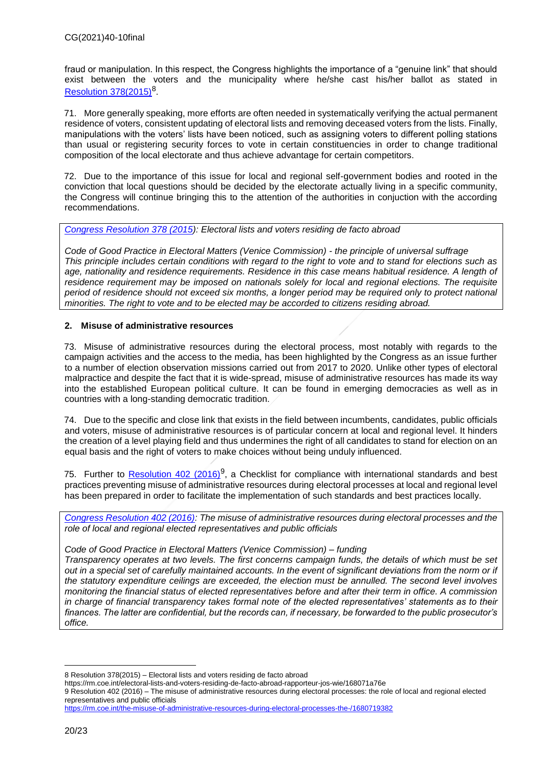fraud or manipulation. In this respect, the Congress highlights the importance of a "genuine link" that should exist between the voters and the municipality where he/she cast his/her ballot as stated in [Resolution 378\(2015\)](https://rm.coe.int/electoral-lists-and-voters-residing-de-facto-abroad-rapporteur-jos-wie/168071a76e)<sup>8</sup>.

71. More generally speaking, more efforts are often needed in systematically verifying the actual permanent residence of voters, consistent updating of electoral lists and removing deceased voters from the lists. Finally, manipulations with the voters' lists have been noticed, such as assigning voters to different polling stations than usual or registering security forces to vote in certain constituencies in order to change traditional composition of the local electorate and thus achieve advantage for certain competitors.

72. Due to the importance of this issue for local and regional self-government bodies and rooted in the conviction that local questions should be decided by the electorate actually living in a specific community, the Congress will continue bringing this to the attention of the authorities in conjuction with the according recommendations.

*[Congress Resolution 378 \(2015\)](https://rm.coe.int/electoral-lists-and-voters-residing-de-facto-abroad-rapporteur-jos-wie/168071a76e): Electoral lists and voters residing de facto abroad*

*Code of Good Practice in Electoral Matters (Venice Commission) - the principle of universal suffrage This principle includes certain conditions with regard to the right to vote and to stand for elections such as age, nationality and residence requirements. Residence in this case means habitual residence. A length of residence requirement may be imposed on nationals solely for local and regional elections. The requisite period of residence should not exceed six months, a longer period may be required only to protect national minorities. The right to vote and to be elected may be accorded to citizens residing abroad.*

# **2. Misuse of administrative resources**

73. Misuse of administrative resources during the electoral process, most notably with regards to the campaign activities and the access to the media, has been highlighted by the Congress as an issue further to a number of election observation missions carried out from 2017 to 2020. Unlike other types of electoral malpractice and despite the fact that it is wide-spread, misuse of administrative resources has made its way into the established European political culture. It can be found in emerging democracies as well as in countries with a long-standing democratic tradition.

74. Due to the specific and close link that exists in the field between incumbents, candidates, public officials and voters, misuse of administrative resources is of particular concern at local and regional level. It hinders the creation of a level playing field and thus undermines the right of all candidates to stand for election on an equal basis and the right of voters to make choices without being unduly influenced.

75. Further to **Resolution 402 (2016)**<sup>9</sup>, a Checklist for compliance with international standards and best practices preventing misuse of administrative resources during electoral processes at local and regional level has been prepared in order to facilitate the implementation of such standards and best practices locally.

*[Congress Resolution 402 \(2016\):](https://rm.coe.int/the-misuse-of-administrative-resources-during-electoral-processes-the-/1680719382) The misuse of administrative resources during electoral processes and the role of local and regional elected representatives and public officials* 

### *Code of Good Practice in Electoral Matters (Venice Commission) – funding*

*Transparency operates at two levels. The first concerns campaign funds, the details of which must be set out in a special set of carefully maintained accounts. In the event of significant deviations from the norm or if the statutory expenditure ceilings are exceeded, the election must be annulled. The second level involves monitoring the financial status of elected representatives before and after their term in office. A commission in charge of financial transparency takes formal note of the elected representatives' statements as to their finances. The latter are confidential, but the records can, if necessary, be forwarded to the public prosecutor's office.*

https://rm.coe.int/electoral-lists-and-voters-residing-de-facto-abroad-rapporteur-jos-wie/168071a76e

9 Resolution 402 (2016) – The misuse of administrative resources during electoral processes: the role of local and regional elected representatives and public officials

<https://rm.coe.int/the-misuse-of-administrative-resources-during-electoral-processes-the-/1680719382>

<sup>8</sup> Resolution 378(2015) – Electoral lists and voters residing de facto abroad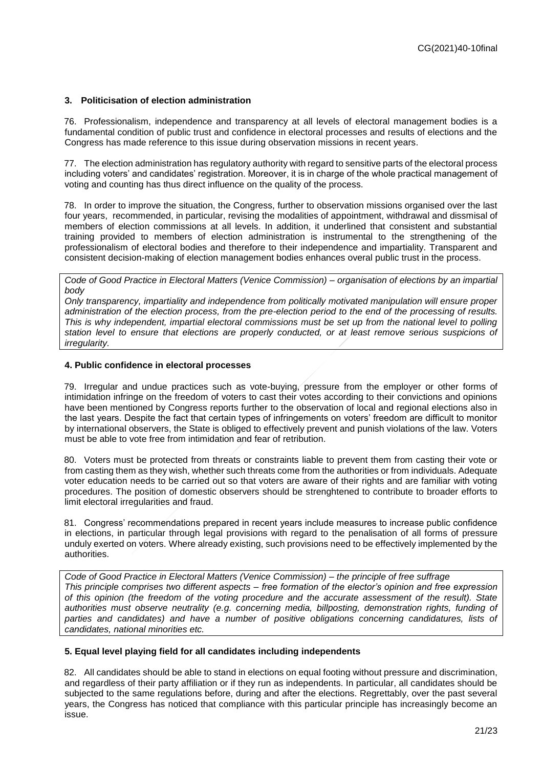# **3. Politicisation of election administration**

76. Professionalism, independence and transparency at all levels of electoral management bodies is a fundamental condition of public trust and confidence in electoral processes and results of elections and the Congress has made reference to this issue during observation missions in recent years.

77. The election administration has regulatory authority with regard to sensitive parts of the electoral process including voters' and candidates' registration. Moreover, it is in charge of the whole practical management of voting and counting has thus direct influence on the quality of the process.

78. In order to improve the situation, the Congress, further to observation missions organised over the last four years, recommended, in particular, revising the modalities of appointment, withdrawal and dissmisal of members of election commissions at all levels. In addition, it underlined that consistent and substantial training provided to members of election administration is instrumental to the strengthening of the professionalism of electoral bodies and therefore to their independence and impartiality. Transparent and consistent decision-making of election management bodies enhances overal public trust in the process.

*Code of Good Practice in Electoral Matters (Venice Commission) – organisation of elections by an impartial body*

*Only transparency, impartiality and independence from politically motivated manipulation will ensure proper administration of the election process, from the pre-election period to the end of the processing of results. This is why independent, impartial electoral commissions must be set up from the national level to polling station level to ensure that elections are properly conducted, or at least remove serious suspicions of irregularity.*

### **4. Public confidence in electoral processes**

79. Irregular and undue practices such as vote-buying, pressure from the employer or other forms of intimidation infringe on the freedom of voters to cast their votes according to their convictions and opinions have been mentioned by Congress reports further to the observation of local and regional elections also in the last years. Despite the fact that certain types of infringements on voters' freedom are difficult to monitor by international observers, the State is obliged to effectively prevent and punish violations of the law. Voters must be able to vote free from intimidation and fear of retribution.

80. Voters must be protected from threats or constraints liable to prevent them from casting their vote or from casting them as they wish, whether such threats come from the authorities or from individuals. Adequate voter education needs to be carried out so that voters are aware of their rights and are familiar with voting procedures. The position of domestic observers should be strenghtened to contribute to broader efforts to limit electoral irregularities and fraud.

81. Congress' recommendations prepared in recent years include measures to increase public confidence in elections, in particular through legal provisions with regard to the penalisation of all forms of pressure unduly exerted on voters. Where already existing, such provisions need to be effectively implemented by the authorities.

*Code of Good Practice in Electoral Matters (Venice Commission) – the principle of free suffrage This principle comprises two different aspects – free formation of the elector's opinion and free expression of this opinion (the freedom of the voting procedure and the accurate assessment of the result). State authorities must observe neutrality (e.g. concerning media, billposting, demonstration rights, funding of*  parties and candidates) and have a number of positive obligations concerning candidatures, lists of *candidates, national minorities etc.*

### **5. Equal level playing field for all candidates including independents**

82. All candidates should be able to stand in elections on equal footing without pressure and discrimination, and regardless of their party affiliation or if they run as independents. In particular, all candidates should be subjected to the same regulations before, during and after the elections. Regrettably, over the past several years, the Congress has noticed that compliance with this particular principle has increasingly become an issue.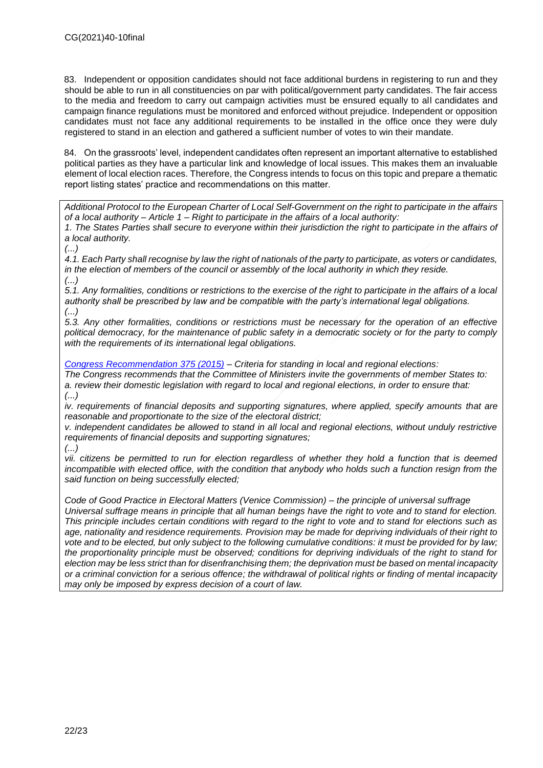83. Independent or opposition candidates should not face additional burdens in registering to run and they should be able to run in all constituencies on par with political/government party candidates. The fair access to the media and freedom to carry out campaign activities must be ensured equally to all candidates and campaign finance regulations must be monitored and enforced without prejudice. Independent or opposition candidates must not face any additional requirements to be installed in the office once they were duly registered to stand in an election and gathered a sufficient number of votes to win their mandate.

84. On the grassroots' level, independent candidates often represent an important alternative to established political parties as they have a particular link and knowledge of local issues. This makes them an invaluable element of local election races. Therefore, the Congress intends to focus on this topic and prepare a thematic report listing states' practice and recommendations on this matter.

*Additional Protocol to the European Charter of Local Self-Government on the right to participate in the affairs of a local authority – Article 1 – Right to participate in the affairs of a local authority:*

*1. The States Parties shall secure to everyone within their jurisdiction the right to participate in the affairs of a local authority.*

*(...)*

*4.1. Each Party shall recognise by law the right of nationals of the party to participate, as voters or candidates, in the election of members of the council or assembly of the local authority in which they reside. (...)*

*5.1. Any formalities, conditions or restrictions to the exercise of the right to participate in the affairs of a local authority shall be prescribed by law and be compatible with the party's international legal obligations. (...)*

*5.3. Any other formalities, conditions or restrictions must be necessary for the operation of an effective political democracy, for the maintenance of public safety in a democratic society or for the party to comply with the requirements of its international legal obligations.*

*[Congress Recommendation 375 \(2015\)](https://search.coe.int/congress/Pages/result_details.aspx?ObjectId=090000168071a7b4) – Criteria for standing in local and regional elections:*

*The Congress recommends that the Committee of Ministers invite the governments of member States to: a. review their domestic legislation with regard to local and regional elections, in order to ensure that: (...)*

*iv. requirements of financial deposits and supporting signatures, where applied, specify amounts that are reasonable and proportionate to the size of the electoral district;*

*v. independent candidates be allowed to stand in all local and regional elections, without unduly restrictive requirements of financial deposits and supporting signatures;*

*(...)*

*vii. citizens be permitted to run for election regardless of whether they hold a function that is deemed incompatible with elected office, with the condition that anybody who holds such a function resign from the said function on being successfully elected;*

*Code of Good Practice in Electoral Matters (Venice Commission) – the principle of universal suffrage Universal suffrage means in principle that all human beings have the right to vote and to stand for election. This principle includes certain conditions with regard to the right to vote and to stand for elections such as age, nationality and residence requirements. Provision may be made for depriving individuals of their right to vote and to be elected, but only subject to the following cumulative conditions: it must be provided for by law; the proportionality principle must be observed; conditions for depriving individuals of the right to stand for election may be less strict than for disenfranchising them; the deprivation must be based on mental incapacity or a criminal conviction for a serious offence; the withdrawal of political rights or finding of mental incapacity may only be imposed by express decision of a court of law.*